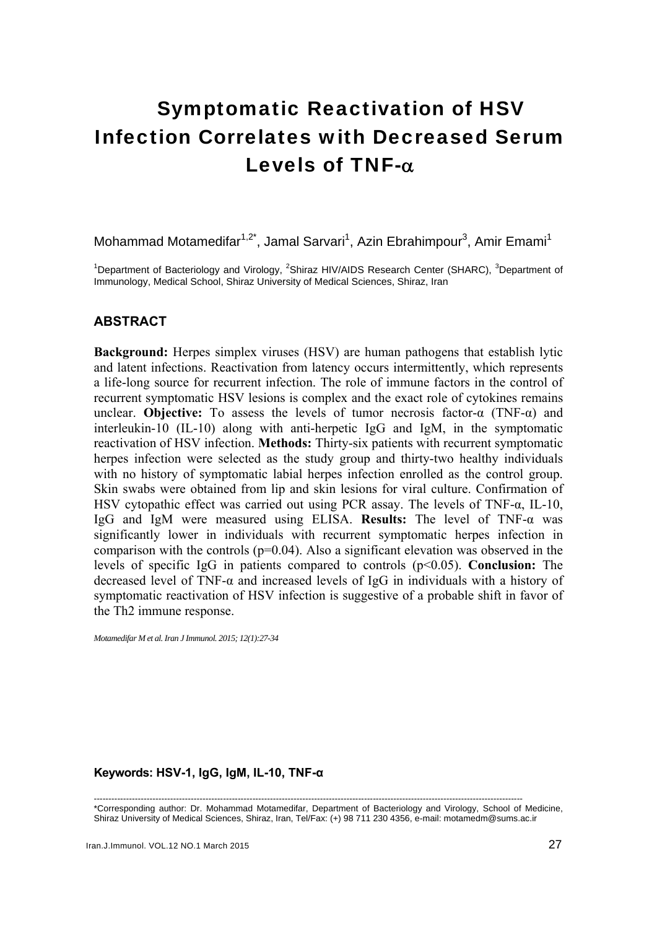# Symptomatic Reactivation of HSV Infection Correlates with Decreased Serum Levels of TNF-α

Mohammad Motamedifar<sup>1,2\*</sup>, Jamal Sarvari<sup>1</sup>, Azin Ebrahimpour<sup>3</sup>, Amir Emami<sup>1</sup>

<sup>1</sup>Department of Bacteriology and Virology, <sup>2</sup>Shiraz HIV/AIDS Research Center (SHARC), <sup>3</sup>Department of Immunology, Medical School, Shiraz University of Medical Sciences, Shiraz, Iran

## **ABSTRACT**

**Background:** Herpes simplex viruses (HSV) are human pathogens that establish lytic and latent infections. Reactivation from latency occurs intermittently, which represents a life-long source for recurrent infection. The role of immune factors in the control of recurrent symptomatic HSV lesions is complex and the exact role of cytokines remains unclear. **Objective:** To assess the levels of tumor necrosis factor-α (TNF-α) and interleukin-10 (IL-10) along with anti-herpetic IgG and IgM, in the symptomatic reactivation of HSV infection. **Methods:** Thirty-six patients with recurrent symptomatic herpes infection were selected as the study group and thirty-two healthy individuals with no history of symptomatic labial herpes infection enrolled as the control group. Skin swabs were obtained from lip and skin lesions for viral culture. Confirmation of HSV cytopathic effect was carried out using PCR assay. The levels of TNF-α, IL-10, IgG and IgM were measured using ELISA. **Results:** The level of TNF-α was significantly lower in individuals with recurrent symptomatic herpes infection in comparison with the controls  $(p=0.04)$ . Also a significant elevation was observed in the levels of specific IgG in patients compared to controls (p<0.05). **Conclusion:** The decreased level of TNF-α and increased levels of IgG in individuals with a history of symptomatic reactivation of HSV infection is suggestive of a probable shift in favor of the Th2 immune response.

*Motamedifar M et al. Iran J Immunol. 2015; 12(1):27-34* 

#### **Keywords: HSV-1, IgG, IgM, IL-10, TNF-α**

-------------------------------------------------------------------------------------------------------------------------------------------------- \*Corresponding author: Dr. Mohammad Motamedifar, Department of Bacteriology and Virology, School of Medicine, Shiraz University of Medical Sciences, Shiraz, Iran, Tel/Fax: (+) 98 711 230 4356, e-mail: motamedm@sums.ac.ir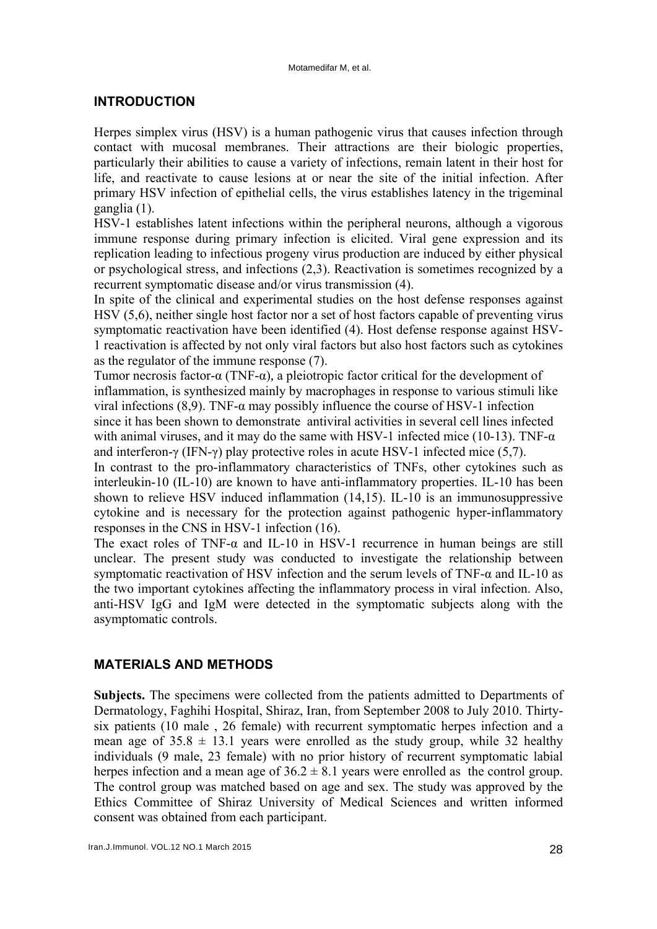## **INTRODUCTION**

Herpes simplex virus (HSV) is a human pathogenic virus that causes infection through contact with mucosal membranes. Their attractions are their biologic properties, particularly their abilities to cause a variety of infections, remain latent in their host for life, and reactivate to cause lesions at or near the site of the initial infection. After primary HSV infection of epithelial cells, the virus establishes latency in the trigeminal ganglia (1).

HSV-1 establishes latent infections within the peripheral neurons, although a vigorous immune response during primary infection is elicited. Viral gene expression and its replication leading to infectious progeny virus production are induced by either physical or psychological stress, and infections (2,3). Reactivation is sometimes recognized by a recurrent symptomatic disease and/or virus transmission (4).

In spite of the clinical and experimental studies on the host defense responses against HSV (5,6), neither single host factor nor a set of host factors capable of preventing virus symptomatic reactivation have been identified (4). Host defense response against HSV-1 reactivation is affected by not only viral factors but also host factors such as cytokines as the regulator of the immune response (7).

Tumor necrosis factor-α (TNF-α)*,* a pleiotropic factor critical for the development of inflammation, is synthesized mainly by macrophages in response to various stimuli like viral infections (8,9). TNF-α may possibly influence the course of HSV-1 infection since it has been shown to demonstrate antiviral activities in several cell lines infected with animal viruses, and it may do the same with HSV-1 infected mice (10-13). TNF- $\alpha$ and interferon-γ (IFN-γ) play protective roles in acute HSV-1 infected mice (5,7).

In contrast to the pro-inflammatory characteristics of TNFs, other cytokines such as interleukin-10 (IL-10) are known to have anti-inflammatory properties. IL-10 has been shown to relieve HSV induced inflammation (14,15). IL-10 is an immunosuppressive cytokine and is necessary for the protection against pathogenic hyper-inflammatory responses in the CNS in HSV-1 infection (16).

The exact roles of TNF- $\alpha$  and IL-10 in HSV-1 recurrence in human beings are still unclear. The present study was conducted to investigate the relationship between symptomatic reactivation of HSV infection and the serum levels of TNF-α and IL-10 as the two important cytokines affecting the inflammatory process in viral infection. Also, anti-HSV IgG and IgM were detected in the symptomatic subjects along with the asymptomatic controls.

## **MATERIALS AND METHODS**

**Subjects.** The specimens were collected from the patients admitted to Departments of Dermatology, Faghihi Hospital, Shiraz, Iran, from September 2008 to July 2010. Thirtysix patients (10 male , 26 female) with recurrent symptomatic herpes infection and a mean age of  $35.8 \pm 13.1$  years were enrolled as the study group, while 32 healthy individuals (9 male, 23 female) with no prior history of recurrent symptomatic labial herpes infection and a mean age of  $36.2 \pm 8.1$  years were enrolled as the control group. The control group was matched based on age and sex. The study was approved by the Ethics Committee of Shiraz University of Medical Sciences and written informed consent was obtained from each participant.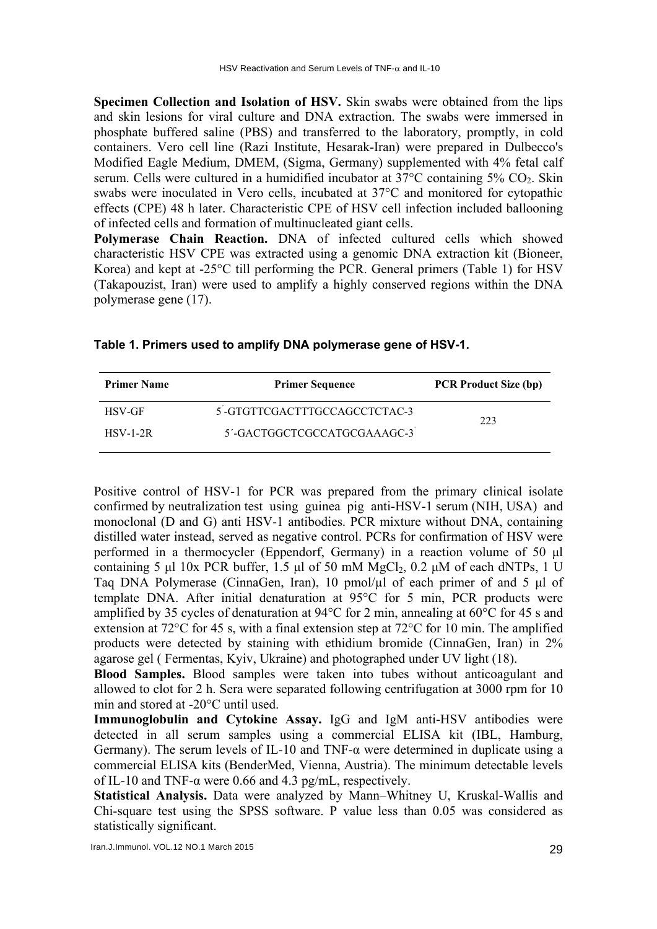**Specimen Collection and Isolation of HSV.** Skin swabs were obtained from the lips and skin lesions for viral culture and DNA extraction. The swabs were immersed in phosphate buffered saline (PBS) and transferred to the laboratory, promptly, in cold containers. Vero cell line (Razi Institute, Hesarak-Iran) were prepared in Dulbecco's Modified Eagle Medium, DMEM, (Sigma, Germany) supplemented with 4% fetal calf serum. Cells were cultured in a humidified incubator at  $37^{\circ}$ C containing  $5\%$  CO<sub>2</sub>. Skin swabs were inoculated in Vero cells, incubated at 37°C and monitored for cytopathic effects (CPE) 48 h later. Characteristic CPE of HSV cell infection included ballooning of infected cells and formation of multinucleated giant cells.

**Polymerase Chain Reaction.** DNA of infected cultured cells which showed characteristic HSV CPE was extracted using a genomic DNA extraction kit (Bioneer, Korea) and kept at -25°C till performing the PCR. General primers (Table 1) for HSV (Takapouzist, Iran) were used to amplify a highly conserved regions within the DNA polymerase gene (17).

| <b>Primer Name</b> | <b>Primer Sequence</b>       | <b>PCR Product Size (bp)</b> |
|--------------------|------------------------------|------------------------------|
| <b>HSV-GF</b>      | 5-GTGTTCGACTTTGCCAGCCTCTAC-3 | 223                          |
| $HSV-1-2R$         | 5'-GACTGGCTCGCCATGCGAAAGC-3  |                              |

|  |  |  |  | Table 1. Primers used to amplify DNA polymerase gene of HSV-1. |
|--|--|--|--|----------------------------------------------------------------|
|--|--|--|--|----------------------------------------------------------------|

Positive control of HSV-1 for PCR was prepared from the primary clinical isolate confirmed by neutralization test using guinea pig anti-HSV-1 serum (NIH, USA) and monoclonal (D and G) anti HSV-1 antibodies. PCR mixture without DNA, containing distilled water instead, served as negative control. PCRs for confirmation of HSV were performed in a thermocycler (Eppendorf, Germany) in a reaction volume of 50 μl containing 5 μl 10x PCR buffer, 1.5 μl of 50 mM  $MgCl_2$ , 0.2 μM of each dNTPs, 1 U Taq DNA Polymerase (CinnaGen, Iran), 10 pmol/µl of each primer of and 5 μl of template DNA. After initial denaturation at 95°C for 5 min, PCR products were amplified by 35 cycles of denaturation at 94 $\degree$ C for 2 min, annealing at 60 $\degree$ C for 45 s and extension at 72°C for 45 s, with a final extension step at 72°C for 10 min. The amplified products were detected by staining with ethidium bromide (CinnaGen, Iran) in 2% agarose gel ( Fermentas, Kyiv, Ukraine) and photographed under UV light (18).

**Blood Samples.** Blood samples were taken into tubes without anticoagulant and allowed to clot for 2 h. Sera were separated following centrifugation at 3000 rpm for 10 min and stored at -20°C until used.

**Immunoglobulin and Cytokine Assay.** IgG and IgM anti-HSV antibodies were detected in all serum samples using a commercial ELISA kit (IBL, Hamburg, Germany). The serum levels of IL-10 and TNF-α were determined in duplicate using a commercial ELISA kits (BenderMed, Vienna, Austria). The minimum detectable levels of IL-10 and TNF- $\alpha$  were 0.66 and 4.3 pg/mL, respectively.

**Statistical Analysis.** Data were analyzed by Mann–Whitney U, Kruskal-Wallis and Chi-square test using the SPSS software. P value less than 0.05 was considered as statistically significant.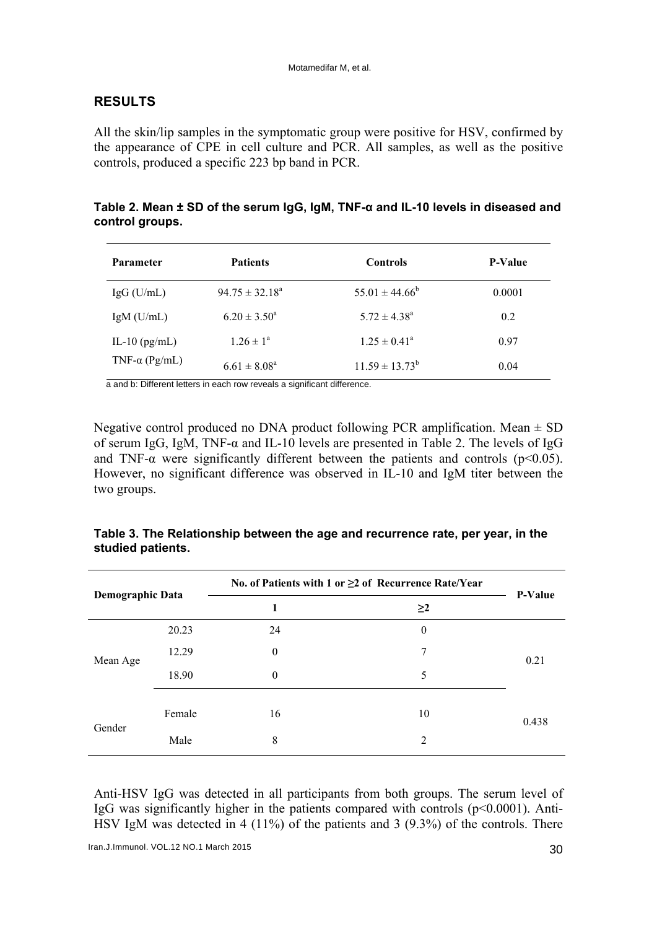# **RESULTS**

All the skin/lip samples in the symptomatic group were positive for HSV, confirmed by the appearance of CPE in cell culture and PCR. All samples, as well as the positive controls, produced a specific 223 bp band in PCR.

| Table 2. Mean $\pm$ SD of the serum IgG, IgM, TNF- $\alpha$ and IL-10 levels in diseased and |  |
|----------------------------------------------------------------------------------------------|--|
| control groups.                                                                              |  |

| <b>Parameter</b>      | <b>Patients</b>     | <b>Controls</b>           | <b>P-Value</b> |
|-----------------------|---------------------|---------------------------|----------------|
| $IgG$ (U/mL)          | $94.75 \pm 32.18^a$ | $55.01 \pm 44.66^{\circ}$ | 0.0001         |
| $IgM$ (U/mL)          | $6.20 \pm 3.50^a$   | $5.72 \pm 4.38^a$         | 0.2            |
| IL-10 $(pg/mL)$       | $1.26 \pm 1^a$      | $1.25 \pm 0.41^{\circ}$   | 0.97           |
| TNF- $\alpha$ (Pg/mL) | $6.61 \pm 8.08^a$   | $11.59 \pm 13.73^b$       | 0.04           |

a and b: Different letters in each row reveals a significant difference.

Negative control produced no DNA product following PCR amplification. Mean  $\pm$  SD of serum IgG, IgM, TNF-α and IL-10 levels are presented in Table 2. The levels of IgG and TNF- $\alpha$  were significantly different between the patients and controls ( $p<0.05$ ). However, no significant difference was observed in IL-10 and IgM titer between the two groups.

| Table 3. The Relationship between the age and recurrence rate, per year, in the |  |
|---------------------------------------------------------------------------------|--|
| studied patients.                                                               |  |

| Demographic Data |        | No. of Patients with 1 or $\geq$ 2 of Recurrence Rate/Year |              |                |
|------------------|--------|------------------------------------------------------------|--------------|----------------|
|                  |        | 1                                                          | $\geq$ 2     | <b>P-Value</b> |
| Mean Age         | 20.23  | 24                                                         | $\mathbf{0}$ | 0.21           |
|                  | 12.29  | $\theta$                                                   | 7            |                |
|                  | 18.90  | $\theta$                                                   | 5            |                |
| Gender           | Female | 16                                                         | 10           | 0.438          |
|                  | Male   | 8                                                          | 2            |                |

Anti-HSV IgG was detected in all participants from both groups. The serum level of IgG was significantly higher in the patients compared with controls  $(p<0.0001)$ . Anti-HSV IgM was detected in 4 (11%) of the patients and 3 (9.3%) of the controls. There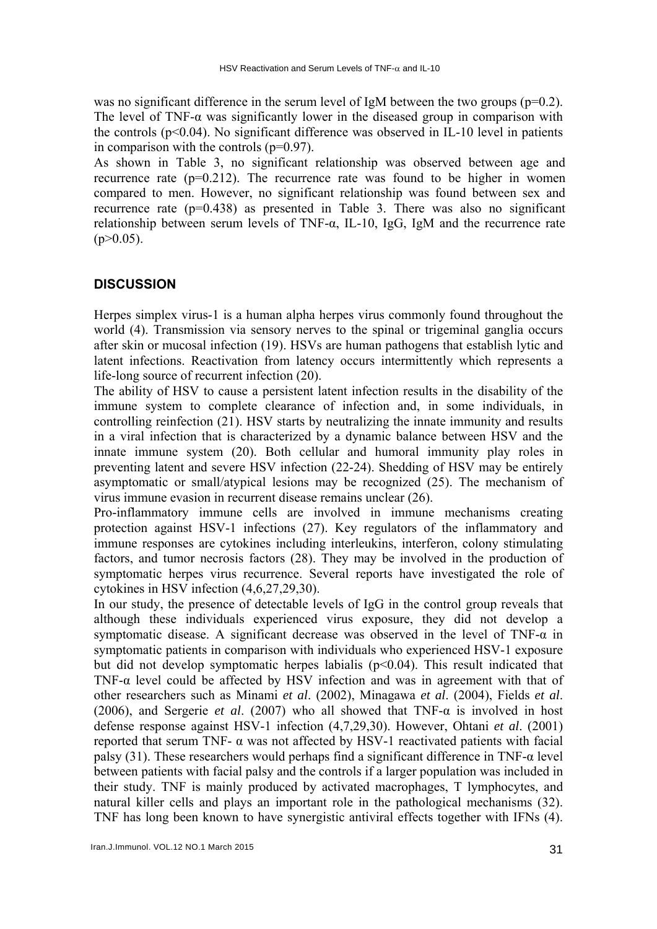was no significant difference in the serum level of IgM between the two groups  $(p=0.2)$ . The level of TNF- $\alpha$  was significantly lower in the diseased group in comparison with the controls  $(p<0.04)$ . No significant difference was observed in IL-10 level in patients in comparison with the controls (p=0.97).

As shown in Table 3, no significant relationship was observed between age and recurrence rate  $(p=0.212)$ . The recurrence rate was found to be higher in women compared to men. However, no significant relationship was found between sex and recurrence rate  $(p=0.438)$  as presented in Table 3. There was also no significant relationship between serum levels of TNF-α, IL-10, IgG, IgM and the recurrence rate  $(p>0.05)$ .

## **DISCUSSION**

Herpes simplex virus-1 is a human alpha herpes virus commonly found throughout the world (4). Transmission via sensory nerves to the spinal or trigeminal ganglia occurs after skin or mucosal infection (19). HSVs are human pathogens that establish lytic and latent infections. Reactivation from latency occurs intermittently which represents a life-long source of recurrent infection (20).

The ability of HSV to cause a persistent latent infection results in the disability of the immune system to complete clearance of infection and, in some individuals, in controlling reinfection (21). HSV starts by neutralizing the innate immunity and results in a viral infection that is characterized by a dynamic balance between HSV and the innate immune system (20). Both cellular and humoral immunity play roles in preventing latent and severe HSV infection (22-24). Shedding of HSV may be entirely asymptomatic or small/atypical lesions may be recognized (25). The mechanism of virus immune evasion in recurrent disease remains unclear (26).

Pro-inflammatory immune cells are involved in immune mechanisms creating protection against HSV-1 infections (27). Key regulators of the inflammatory and immune responses are cytokines including interleukins, interferon, colony stimulating factors, and tumor necrosis factors (28). They may be involved in the production of symptomatic herpes virus recurrence. Several reports have investigated the role of cytokines in HSV infection (4,6,27,29,30).

In our study, the presence of detectable levels of IgG in the control group reveals that although these individuals experienced virus exposure, they did not develop a symptomatic disease. A significant decrease was observed in the level of TNF- $\alpha$  in symptomatic patients in comparison with individuals who experienced HSV-1 exposure but did not develop symptomatic herpes labialis  $(p<0.04)$ . This result indicated that TNF- $\alpha$  level could be affected by HSV infection and was in agreement with that of other researchers such as Minami *et al*. (2002), Minagawa *et al*. (2004), Fields *et al*. (2006), and Sergerie *et al*. (2007) who all showed that TNF-α is involved in host defense response against HSV-1 infection (4,7,29,30). However, Ohtani *et al*. (2001) reported that serum TNF- α was not affected by HSV-1 reactivated patients with facial palsy (31). These researchers would perhaps find a significant difference in TNF-α level between patients with facial palsy and the controls if a larger population was included in their study. TNF is mainly produced by activated macrophages, T lymphocytes, and natural killer cells and plays an important role in the pathological mechanisms (32). TNF has long been known to have synergistic antiviral effects together with IFNs (4).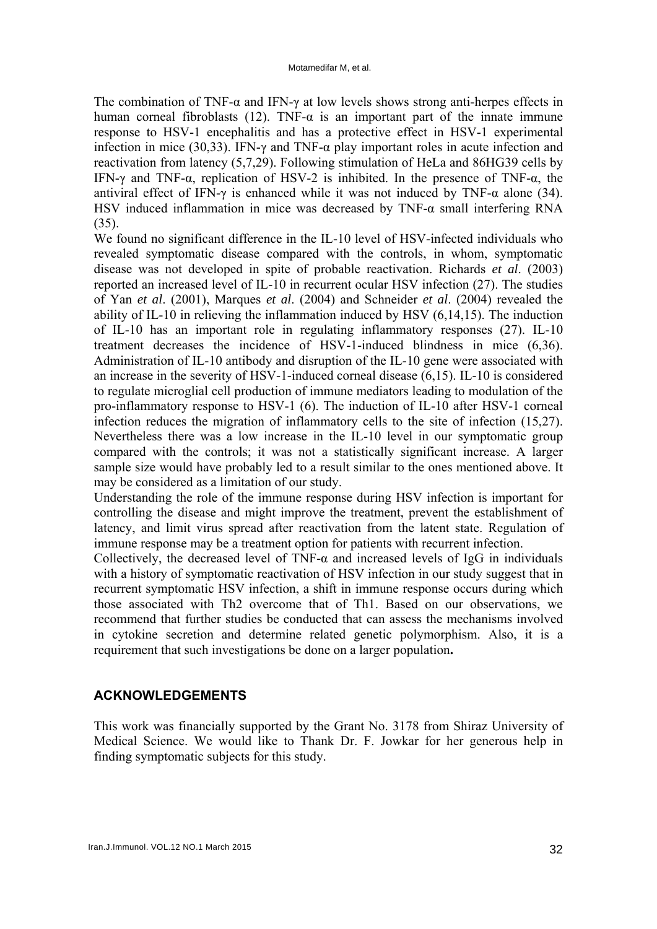The combination of TNF- $\alpha$  and IFN- $\gamma$  at low levels shows strong anti-herpes effects in human corneal fibroblasts (12). TNF- $\alpha$  is an important part of the innate immune response to HSV-1 encephalitis and has a protective effect in HSV-1 experimental infection in mice (30,33). IFN- $\gamma$  and TNF- $\alpha$  play important roles in acute infection and reactivation from latency (5,7,29). Following stimulation of HeLa and 86HG39 cells by IFN-γ and TNF-α, replication of HSV-2 is inhibited. In the presence of TNF-α, the antiviral effect of IFN- $\gamma$  is enhanced while it was not induced by TNF- $\alpha$  alone (34). HSV induced inflammation in mice was decreased by TNF- $\alpha$  small interfering RNA (35).

We found no significant difference in the IL-10 level of HSV-infected individuals who revealed symptomatic disease compared with the controls, in whom, symptomatic disease was not developed in spite of probable reactivation. Richards *et al*. (2003) reported an increased level of IL-10 in recurrent ocular HSV infection (27). The studies of Yan *et al*. (2001), Marques *et al*. (2004) and Schneider *et al*. (2004) revealed the ability of IL-10 in relieving the inflammation induced by HSV (6,14,15). The induction of IL-10 has an important role in regulating inflammatory responses (27). IL-10 treatment decreases the incidence of HSV-1-induced blindness in mice (6,36). Administration of IL-10 antibody and disruption of the IL-10 gene were associated with an increase in the severity of HSV-1-induced corneal disease (6,15). IL-10 is considered to regulate microglial cell production of immune mediators leading to modulation of the pro-inflammatory response to HSV-1 (6). The induction of IL-10 after HSV-1 corneal infection reduces the migration of inflammatory cells to the site of infection (15,27). Nevertheless there was a low increase in the IL-10 level in our symptomatic group compared with the controls; it was not a statistically significant increase. A larger sample size would have probably led to a result similar to the ones mentioned above. It may be considered as a limitation of our study.

Understanding the role of the immune response during HSV infection is important for controlling the disease and might improve the treatment, prevent the establishment of latency, and limit virus spread after reactivation from the latent state. Regulation of immune response may be a treatment option for patients with recurrent infection.

Collectively, the decreased level of TNF- $\alpha$  and increased levels of IgG in individuals with a history of symptomatic reactivation of HSV infection in our study suggest that in recurrent symptomatic HSV infection, a shift in immune response occurs during which those associated with Th2 overcome that of Th1. Based on our observations, we recommend that further studies be conducted that can assess the mechanisms involved in cytokine secretion and determine related genetic polymorphism. Also, it is a requirement that such investigations be done on a larger population**.** 

## **ACKNOWLEDGEMENTS**

This work was financially supported by the Grant No. 3178 from Shiraz University of Medical Science. We would like to Thank Dr. F. Jowkar for her generous help in finding symptomatic subjects for this study.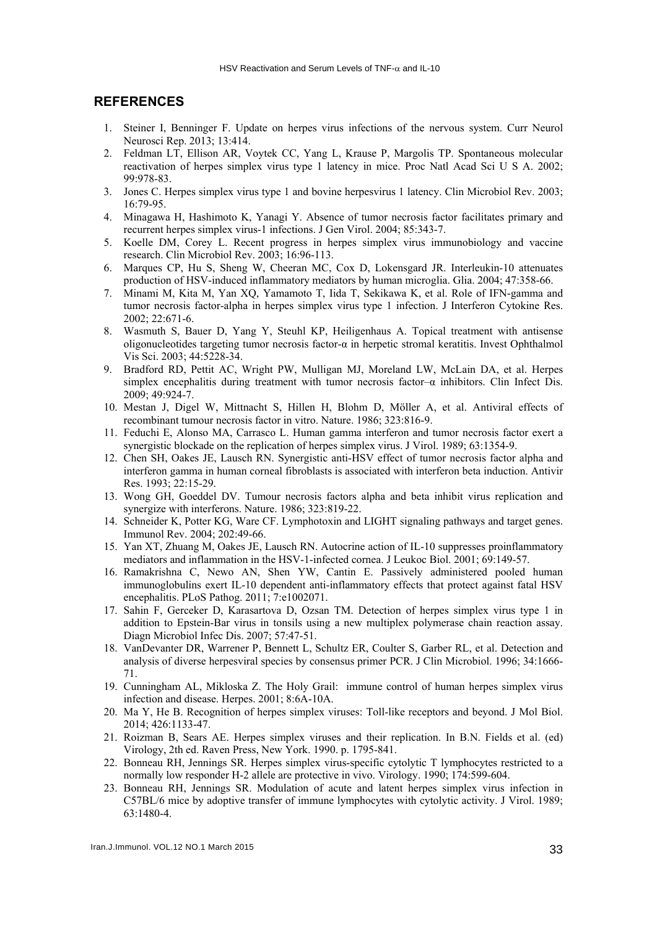#### **REFERENCES**

- 1. Steiner I, Benninger F. Update on herpes virus infections of the nervous system. Curr Neurol Neurosci Rep. 2013; 13:414.
- 2. Feldman LT, Ellison AR, Voytek CC, Yang L, Krause P, Margolis TP. Spontaneous molecular reactivation of herpes simplex virus type 1 latency in mice. Proc Natl Acad Sci U S A. 2002; 99:978-83.
- 3. Jones C. Herpes simplex virus type 1 and bovine herpesvirus 1 latency. Clin Microbiol Rev. 2003; 16:79-95.
- 4. Minagawa H, Hashimoto K, Yanagi Y. Absence of tumor necrosis factor facilitates primary and recurrent herpes simplex virus-1 infections. J Gen Virol. 2004; 85:343-7.
- 5. Koelle DM, Corey L. Recent progress in herpes simplex virus immunobiology and vaccine research. Clin Microbiol Rev. 2003; 16:96-113.
- 6. Marques CP, Hu S, Sheng W, Cheeran MC, Cox D, Lokensgard JR. Interleukin-10 attenuates production of HSV-induced inflammatory mediators by human microglia. Glia. 2004; 47:358-66.
- 7. Minami M, Kita M, Yan XQ, Yamamoto T, Iida T, Sekikawa K, et al. Role of IFN-gamma and tumor necrosis factor-alpha in herpes simplex virus type 1 infection. J Interferon Cytokine Res. 2002; 22:671-6.
- 8. Wasmuth S, Bauer D, Yang Y, Steuhl KP, Heiligenhaus A. Topical treatment with antisense oligonucleotides targeting tumor necrosis factor-α in herpetic stromal keratitis. Invest Ophthalmol Vis Sci. 2003; 44:5228-34.
- 9. Bradford RD, Pettit AC, Wright PW, Mulligan MJ, Moreland LW, McLain DA, et al. Herpes simplex encephalitis during treatment with tumor necrosis factor–α inhibitors. Clin Infect Dis. 2009; 49:924-7.
- 10. Mestan J, Digel W, Mittnacht S, Hillen H, Blohm D, Möller A, et al. Antiviral effects of recombinant tumour necrosis factor in vitro. Nature. 1986; 323:816-9.
- 11. Feduchi E, Alonso MA, Carrasco L. Human gamma interferon and tumor necrosis factor exert a synergistic blockade on the replication of herpes simplex virus. J Virol. 1989; 63:1354-9.
- 12. Chen SH, Oakes JE, Lausch RN. Synergistic anti-HSV effect of tumor necrosis factor alpha and interferon gamma in human corneal fibroblasts is associated with interferon beta induction. Antivir Res. 1993; 22:15-29.
- 13. Wong GH, Goeddel DV. Tumour necrosis factors alpha and beta inhibit virus replication and synergize with interferons. Nature. 1986; 323:819-22.
- 14. Schneider K, Potter KG, Ware CF. Lymphotoxin and LIGHT signaling pathways and target genes. Immunol Rev. 2004; 202:49-66.
- 15. Yan XT, Zhuang M, Oakes JE, Lausch RN. Autocrine action of IL-10 suppresses proinflammatory mediators and inflammation in the HSV-1-infected cornea. J Leukoc Biol. 2001; 69:149-57.
- 16. Ramakrishna C, Newo AN, Shen YW, Cantin E. Passively administered pooled human immunoglobulins exert IL-10 dependent anti-inflammatory effects that protect against fatal HSV encephalitis. PLoS Pathog. 2011; 7:e1002071.
- 17. Sahin F, Gerceker D, Karasartova D, Ozsan TM. Detection of herpes simplex virus type 1 in addition to Epstein-Bar virus in tonsils using a new multiplex polymerase chain reaction assay. Diagn Microbiol Infec Dis. 2007; 57:47-51.
- 18. VanDevanter DR, Warrener P, Bennett L, Schultz ER, Coulter S, Garber RL, et al. Detection and analysis of diverse herpesviral species by consensus primer PCR. J Clin Microbiol. 1996; 34:1666- 71.
- 19. Cunningham AL, Mikloska Z. The Holy Grail: immune control of human herpes simplex virus infection and disease. Herpes. 2001; 8:6A-10A.
- 20. Ma Y, He B. Recognition of herpes simplex viruses: Toll-like receptors and beyond. J Mol Biol. 2014; 426:1133-47.
- 21. Roizman B, Sears AE. Herpes simplex viruses and their replication. In B.N. Fields et al. (ed) Virology, 2th ed. Raven Press, New York. 1990. p. 1795-841.
- 22. Bonneau RH, Jennings SR. Herpes simplex virus-specific cytolytic T lymphocytes restricted to a normally low responder H-2 allele are protective in vivo. Virology. 1990; 174:599-604.
- 23. Bonneau RH, Jennings SR. Modulation of acute and latent herpes simplex virus infection in C57BL/6 mice by adoptive transfer of immune lymphocytes with cytolytic activity. J Virol. 1989; 63:1480-4.